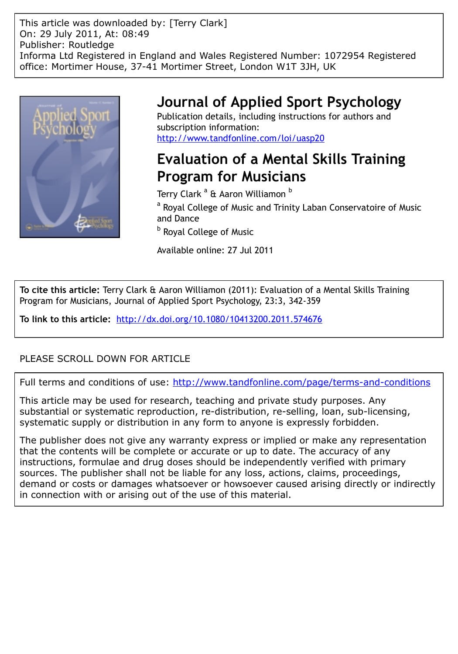This article was downloaded by: [Terry Clark] On: 29 July 2011, At: 08:49 Publisher: Routledge Informa Ltd Registered in England and Wales Registered Number: 1072954 Registered office: Mortimer House, 37-41 Mortimer Street, London W1T 3JH, UK



# **Journal of Applied Sport Psychology**

Publication details, including instructions for authors and subscription information: <http://www.tandfonline.com/loi/uasp20>

# **Evaluation of a Mental Skills Training Program for Musicians**

Terry Clark <sup>a</sup> & Aaron Williamon <sup>b</sup>

<sup>a</sup> Royal College of Music and Trinity Laban Conservatoire of Music and Dance

<sup>b</sup> Royal College of Music

Available online: 27 Jul 2011

**To cite this article:** Terry Clark & Aaron Williamon (2011): Evaluation of a Mental Skills Training Program for Musicians, Journal of Applied Sport Psychology, 23:3, 342-359

**To link to this article:** <http://dx.doi.org/10.1080/10413200.2011.574676>

# PLEASE SCROLL DOWN FOR ARTICLE

Full terms and conditions of use:<http://www.tandfonline.com/page/terms-and-conditions>

This article may be used for research, teaching and private study purposes. Any substantial or systematic reproduction, re-distribution, re-selling, loan, sub-licensing, systematic supply or distribution in any form to anyone is expressly forbidden.

The publisher does not give any warranty express or implied or make any representation that the contents will be complete or accurate or up to date. The accuracy of any instructions, formulae and drug doses should be independently verified with primary sources. The publisher shall not be liable for any loss, actions, claims, proceedings, demand or costs or damages whatsoever or howsoever caused arising directly or indirectly in connection with or arising out of the use of this material.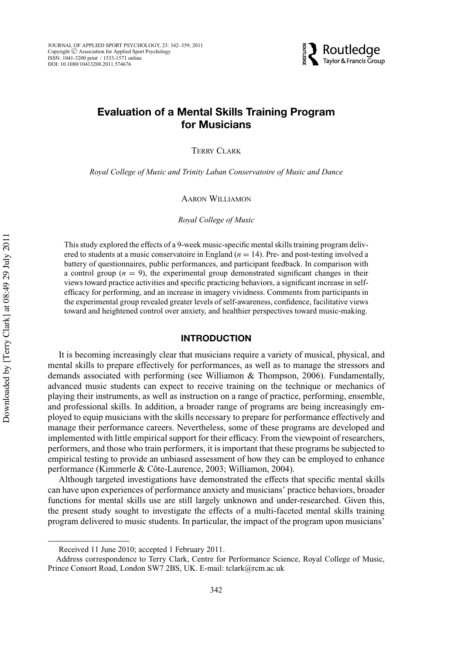

# **Evaluation of a Mental Skills Training Program for Musicians**

TERRY CLARK

*Royal College of Music and Trinity Laban Conservatoire of Music and Dance*

AARON WILLIAMON

*Royal College of Music*

This study explored the effects of a 9-week music-specific mental skills training program delivered to students at a music conservatoire in England  $(n = 14)$ . Pre- and post-testing involved a battery of questionnaires, public performances, and participant feedback. In comparison with a control group  $(n = 9)$ , the experimental group demonstrated significant changes in their views toward practice activities and specific practicing behaviors, a significant increase in selfefficacy for performing, and an increase in imagery vividness. Comments from participants in the experimental group revealed greater levels of self-awareness, confidence, facilitative views toward and heightened control over anxiety, and healthier perspectives toward music-making.

# **INTRODUCTION**

It is becoming increasingly clear that musicians require a variety of musical, physical, and mental skills to prepare effectively for performances, as well as to manage the stressors and demands associated with performing (see Williamon & Thompson, 2006). Fundamentally, advanced music students can expect to receive training on the technique or mechanics of playing their instruments, as well as instruction on a range of practice, performing, ensemble, and professional skills. In addition, a broader range of programs are being increasingly employed to equip musicians with the skills necessary to prepare for performance effectively and manage their performance careers. Nevertheless, some of these programs are developed and implemented with little empirical support for their efficacy. From the viewpoint of researchers, performers, and those who train performers, it is important that these programs be subjected to empirical testing to provide an unbiased assessment of how they can be employed to enhance performance (Kimmerle & Côte-Laurence, 2003; Williamon, 2004).

Although targeted investigations have demonstrated the effects that specific mental skills can have upon experiences of performance anxiety and musicians' practice behaviors, broader functions for mental skills use are still largely unknown and under-researched. Given this, the present study sought to investigate the effects of a multi-faceted mental skills training program delivered to music students. In particular, the impact of the program upon musicians'

Received 11 June 2010; accepted 1 February 2011.

Address correspondence to Terry Clark, Centre for Performance Science, Royal College of Music, Prince Consort Road, London SW7 2BS, UK. E-mail: tclark@rcm.ac.uk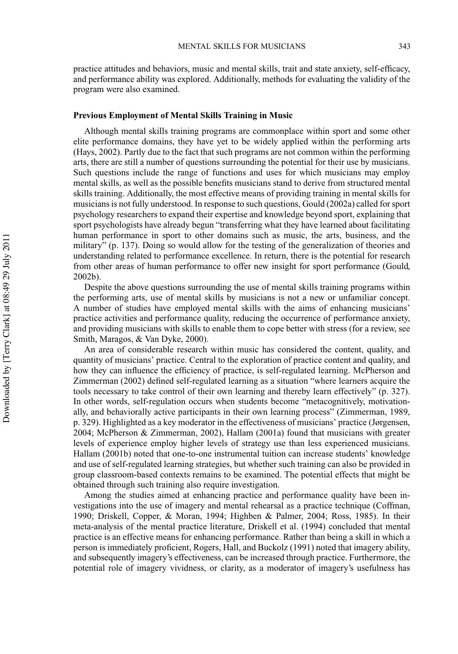practice attitudes and behaviors, music and mental skills, trait and state anxiety, self-efficacy, and performance ability was explored. Additionally, methods for evaluating the validity of the program were also examined.

#### **Previous Employment of Mental Skills Training in Music**

Although mental skills training programs are commonplace within sport and some other elite performance domains, they have yet to be widely applied within the performing arts (Hays, 2002). Partly due to the fact that such programs are not common within the performing arts, there are still a number of questions surrounding the potential for their use by musicians. Such questions include the range of functions and uses for which musicians may employ mental skills, as well as the possible benefits musicians stand to derive from structured mental skills training. Additionally, the most effective means of providing training in mental skills for musicians is not fully understood. In response to such questions, Gould (2002a) called for sport psychology researchers to expand their expertise and knowledge beyond sport, explaining that sport psychologists have already begun "transferring what they have learned about facilitating human performance in sport to other domains such as music, the arts, business, and the military" (p. 137). Doing so would allow for the testing of the generalization of theories and understanding related to performance excellence. In return, there is the potential for research from other areas of human performance to offer new insight for sport performance (Gould, 2002b).

Despite the above questions surrounding the use of mental skills training programs within the performing arts, use of mental skills by musicians is not a new or unfamiliar concept. A number of studies have employed mental skills with the aims of enhancing musicians' practice activities and performance quality, reducing the occurrence of performance anxiety, and providing musicians with skills to enable them to cope better with stress (for a review, see Smith, Maragos, & Van Dyke, 2000).

An area of considerable research within music has considered the content, quality, and quantity of musicians' practice. Central to the exploration of practice content and quality, and how they can influence the efficiency of practice, is self-regulated learning. McPherson and Zimmerman (2002) defined self-regulated learning as a situation "where learners acquire the tools necessary to take control of their own learning and thereby learn effectively" (p. 327). In other words, self-regulation occurs when students become "metacognitively, motivationally, and behaviorally active participants in their own learning process" (Zimmerman, 1989, p. 329). Highlighted as a key moderator in the effectiveness of musicians' practice (Jørgensen, 2004; McPherson & Zimmerman, 2002), Hallam (2001a) found that musicians with greater levels of experience employ higher levels of strategy use than less experienced musicians. Hallam (2001b) noted that one-to-one instrumental tuition can increase students' knowledge and use of self-regulated learning strategies, but whether such training can also be provided in group classroom-based contexts remains to be examined. The potential effects that might be obtained through such training also require investigation.

Among the studies aimed at enhancing practice and performance quality have been investigations into the use of imagery and mental rehearsal as a practice technique (Coffman, 1990; Driskell, Copper, & Moran, 1994; Highben & Palmer, 2004; Ross, 1985). In their meta-analysis of the mental practice literature, Driskell et al. (1994) concluded that mental practice is an effective means for enhancing performance. Rather than being a skill in which a person is immediately proficient, Rogers, Hall, and Buckolz (1991) noted that imagery ability, and subsequently imagery's effectiveness, can be increased through practice. Furthermore, the potential role of imagery vividness, or clarity, as a moderator of imagery's usefulness has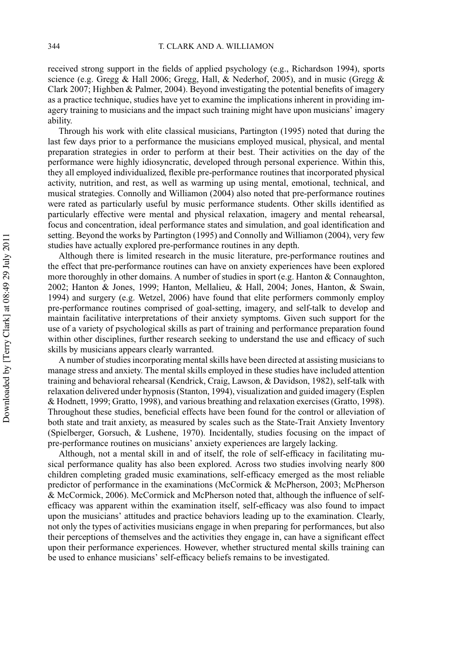received strong support in the fields of applied psychology (e.g., Richardson 1994), sports science (e.g. Gregg  $\&$  Hall 2006; Gregg, Hall,  $\&$  Nederhof, 2005), and in music (Gregg  $\&$ Clark 2007; Highben & Palmer, 2004). Beyond investigating the potential benefits of imagery as a practice technique, studies have yet to examine the implications inherent in providing imagery training to musicians and the impact such training might have upon musicians' imagery ability.

Through his work with elite classical musicians, Partington (1995) noted that during the last few days prior to a performance the musicians employed musical, physical, and mental preparation strategies in order to perform at their best. Their activities on the day of the performance were highly idiosyncratic, developed through personal experience. Within this, they all employed individualized, flexible pre-performance routines that incorporated physical activity, nutrition, and rest, as well as warming up using mental, emotional, technical, and musical strategies. Connolly and Williamon (2004) also noted that pre-performance routines were rated as particularly useful by music performance students. Other skills identified as particularly effective were mental and physical relaxation, imagery and mental rehearsal, focus and concentration, ideal performance states and simulation, and goal identification and setting. Beyond the works by Partington (1995) and Connolly and Williamon (2004), very few studies have actually explored pre-performance routines in any depth.

Although there is limited research in the music literature, pre-performance routines and the effect that pre-performance routines can have on anxiety experiences have been explored more thoroughly in other domains. A number of studies in sport (e.g. Hanton & Connaughton, 2002; Hanton & Jones, 1999; Hanton, Mellalieu, & Hall, 2004; Jones, Hanton, & Swain, 1994) and surgery (e.g. Wetzel, 2006) have found that elite performers commonly employ pre-performance routines comprised of goal-setting, imagery, and self-talk to develop and maintain facilitative interpretations of their anxiety symptoms. Given such support for the use of a variety of psychological skills as part of training and performance preparation found within other disciplines, further research seeking to understand the use and efficacy of such skills by musicians appears clearly warranted.

A number of studies incorporating mental skills have been directed at assisting musicians to manage stress and anxiety. The mental skills employed in these studies have included attention training and behavioral rehearsal (Kendrick, Craig, Lawson, & Davidson, 1982), self-talk with relaxation delivered under hypnosis (Stanton, 1994), visualization and guided imagery (Esplen & Hodnett, 1999; Gratto, 1998), and various breathing and relaxation exercises (Gratto, 1998). Throughout these studies, beneficial effects have been found for the control or alleviation of both state and trait anxiety, as measured by scales such as the State-Trait Anxiety Inventory (Spielberger, Gorsuch, & Lushene, 1970). Incidentally, studies focusing on the impact of pre-performance routines on musicians' anxiety experiences are largely lacking.

Although, not a mental skill in and of itself, the role of self-efficacy in facilitating musical performance quality has also been explored. Across two studies involving nearly 800 children completing graded music examinations, self-efficacy emerged as the most reliable predictor of performance in the examinations (McCormick & McPherson, 2003; McPherson & McCormick, 2006). McCormick and McPherson noted that, although the influence of selfefficacy was apparent within the examination itself, self-efficacy was also found to impact upon the musicians' attitudes and practice behaviors leading up to the examination. Clearly, not only the types of activities musicians engage in when preparing for performances, but also their perceptions of themselves and the activities they engage in, can have a significant effect upon their performance experiences. However, whether structured mental skills training can be used to enhance musicians' self-efficacy beliefs remains to be investigated.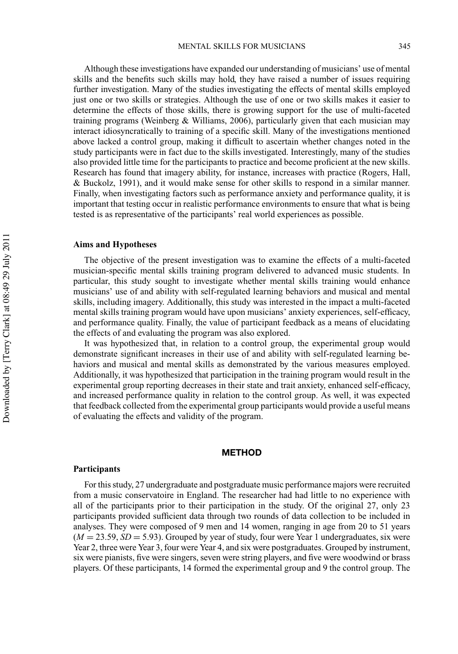#### MENTAL SKILLS FOR MUSICIANS 345

Although these investigations have expanded our understanding of musicians' use of mental skills and the benefits such skills may hold, they have raised a number of issues requiring further investigation. Many of the studies investigating the effects of mental skills employed just one or two skills or strategies. Although the use of one or two skills makes it easier to determine the effects of those skills, there is growing support for the use of multi-faceted training programs (Weinberg  $&$  Williams, 2006), particularly given that each musician may interact idiosyncratically to training of a specific skill. Many of the investigations mentioned above lacked a control group, making it difficult to ascertain whether changes noted in the study participants were in fact due to the skills investigated. Interestingly, many of the studies also provided little time for the participants to practice and become proficient at the new skills. Research has found that imagery ability, for instance, increases with practice (Rogers, Hall, & Buckolz, 1991), and it would make sense for other skills to respond in a similar manner. Finally, when investigating factors such as performance anxiety and performance quality, it is important that testing occur in realistic performance environments to ensure that what is being tested is as representative of the participants' real world experiences as possible.

# **Aims and Hypotheses**

The objective of the present investigation was to examine the effects of a multi-faceted musician-specific mental skills training program delivered to advanced music students. In particular, this study sought to investigate whether mental skills training would enhance musicians' use of and ability with self-regulated learning behaviors and musical and mental skills, including imagery. Additionally, this study was interested in the impact a multi-faceted mental skills training program would have upon musicians' anxiety experiences, self-efficacy, and performance quality. Finally, the value of participant feedback as a means of elucidating the effects of and evaluating the program was also explored.

It was hypothesized that, in relation to a control group, the experimental group would demonstrate significant increases in their use of and ability with self-regulated learning behaviors and musical and mental skills as demonstrated by the various measures employed. Additionally, it was hypothesized that participation in the training program would result in the experimental group reporting decreases in their state and trait anxiety, enhanced self-efficacy, and increased performance quality in relation to the control group. As well, it was expected that feedback collected from the experimental group participants would provide a useful means of evaluating the effects and validity of the program.

## **METHOD**

#### **Participants**

For this study, 27 undergraduate and postgraduate music performance majors were recruited from a music conservatoire in England. The researcher had had little to no experience with all of the participants prior to their participation in the study. Of the original 27, only 23 participants provided sufficient data through two rounds of data collection to be included in analyses. They were composed of 9 men and 14 women, ranging in age from 20 to 51 years  $(M = 23.59, SD = 5.93)$ . Grouped by year of study, four were Year 1 undergraduates, six were Year 2, three were Year 3, four were Year 4, and six were postgraduates. Grouped by instrument, six were pianists, five were singers, seven were string players, and five were woodwind or brass players. Of these participants, 14 formed the experimental group and 9 the control group. The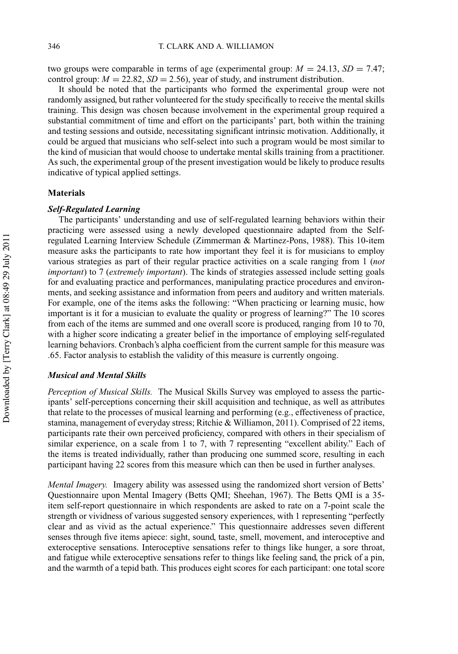two groups were comparable in terms of age (experimental group:  $M = 24.13$ ,  $SD = 7.47$ ; control group:  $M = 22.82$ ,  $SD = 2.56$ ), year of study, and instrument distribution.

It should be noted that the participants who formed the experimental group were not randomly assigned, but rather volunteered for the study specifically to receive the mental skills training. This design was chosen because involvement in the experimental group required a substantial commitment of time and effort on the participants' part, both within the training and testing sessions and outside, necessitating significant intrinsic motivation. Additionally, it could be argued that musicians who self-select into such a program would be most similar to the kind of musician that would choose to undertake mental skills training from a practitioner. As such, the experimental group of the present investigation would be likely to produce results indicative of typical applied settings.

#### **Materials**

# *Self-Regulated Learning*

The participants' understanding and use of self-regulated learning behaviors within their practicing were assessed using a newly developed questionnaire adapted from the Selfregulated Learning Interview Schedule (Zimmerman & Martinez-Pons, 1988). This 10-item measure asks the participants to rate how important they feel it is for musicians to employ various strategies as part of their regular practice activities on a scale ranging from 1 (*not important*) to 7 (*extremely important*). The kinds of strategies assessed include setting goals for and evaluating practice and performances, manipulating practice procedures and environments, and seeking assistance and information from peers and auditory and written materials. For example, one of the items asks the following: "When practicing or learning music, how important is it for a musician to evaluate the quality or progress of learning?" The 10 scores from each of the items are summed and one overall score is produced, ranging from 10 to 70, with a higher score indicating a greater belief in the importance of employing self-regulated learning behaviors. Cronbach's alpha coefficient from the current sample for this measure was .65. Factor analysis to establish the validity of this measure is currently ongoing.

# *Musical and Mental Skills*

*Perception of Musical Skills.* The Musical Skills Survey was employed to assess the participants' self-perceptions concerning their skill acquisition and technique, as well as attributes that relate to the processes of musical learning and performing (e.g., effectiveness of practice, stamina, management of everyday stress; Ritchie & Williamon, 2011). Comprised of 22 items, participants rate their own perceived proficiency, compared with others in their specialism of similar experience, on a scale from 1 to 7, with 7 representing "excellent ability." Each of the items is treated individually, rather than producing one summed score, resulting in each participant having 22 scores from this measure which can then be used in further analyses.

*Mental Imagery.* Imagery ability was assessed using the randomized short version of Betts' Questionnaire upon Mental Imagery (Betts QMI; Sheehan, 1967). The Betts QMI is a 35 item self-report questionnaire in which respondents are asked to rate on a 7-point scale the strength or vividness of various suggested sensory experiences, with 1 representing "perfectly clear and as vivid as the actual experience." This questionnaire addresses seven different senses through five items apiece: sight, sound, taste, smell, movement, and interoceptive and exteroceptive sensations. Interoceptive sensations refer to things like hunger, a sore throat, and fatigue while exteroceptive sensations refer to things like feeling sand, the prick of a pin, and the warmth of a tepid bath. This produces eight scores for each participant: one total score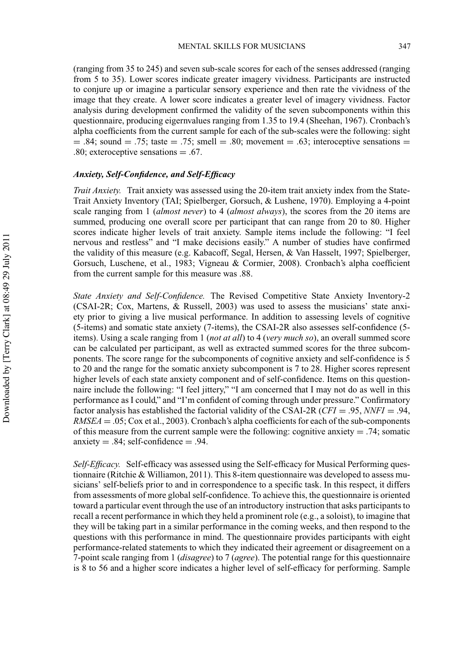(ranging from 35 to 245) and seven sub-scale scores for each of the senses addressed (ranging from 5 to 35). Lower scores indicate greater imagery vividness. Participants are instructed to conjure up or imagine a particular sensory experience and then rate the vividness of the image that they create. A lower score indicates a greater level of imagery vividness. Factor analysis during development confirmed the validity of the seven subcomponents within this questionnaire, producing eigernvalues ranging from 1.35 to 19.4 (Sheehan, 1967). Cronbach's alpha coefficients from the current sample for each of the sub-scales were the following: sight  $= .84$ ; sound  $= .75$ ; taste  $= .75$ ; smell  $= .80$ ; movement  $= .63$ ; interoceptive sensations  $=$ .80; exteroceptive sensations  $= .67$ .

#### *Anxiety, Self-Confidence, and Self-Efficacy*

*Trait Anxiety.* Trait anxiety was assessed using the 20-item trait anxiety index from the State-Trait Anxiety Inventory (TAI; Spielberger, Gorsuch, & Lushene, 1970). Employing a 4-point scale ranging from 1 (*almost never*) to 4 (*almost always*), the scores from the 20 items are summed, producing one overall score per participant that can range from 20 to 80. Higher scores indicate higher levels of trait anxiety. Sample items include the following: "I feel nervous and restless" and "I make decisions easily." A number of studies have confirmed the validity of this measure (e.g. Kabacoff, Segal, Hersen, & Van Hasselt, 1997; Spielberger, Gorsuch, Luschene, et al., 1983; Vigneau & Cormier, 2008). Cronbach's alpha coefficient from the current sample for this measure was .88.

*State Anxiety and Self-Confidence.* The Revised Competitive State Anxiety Inventory-2 (CSAI-2R; Cox, Martens, & Russell, 2003) was used to assess the musicians' state anxiety prior to giving a live musical performance. In addition to assessing levels of cognitive (5-items) and somatic state anxiety (7-items), the CSAI-2R also assesses self-confidence (5 items). Using a scale ranging from 1 (*not at all*) to 4 (*very much so*), an overall summed score can be calculated per participant, as well as extracted summed scores for the three subcomponents. The score range for the subcomponents of cognitive anxiety and self-confidence is 5 to 20 and the range for the somatic anxiety subcomponent is 7 to 28. Higher scores represent higher levels of each state anxiety component and of self-confidence. Items on this questionnaire include the following: "I feel jittery," "I am concerned that I may not do as well in this performance as I could," and "I'm confident of coming through under pressure." Confirmatory factor analysis has established the factorial validity of the CSAI-2R (*CFI* = .95, *NNFI* = .94, *RMSEA* = .05; Cox et al., 2003). Cronbach's alpha coefficients for each of the sub-components of this measure from the current sample were the following: cognitive anxiety  $= .74$ ; somatic anxiety  $= .84$ ; self-confidence  $= .94$ .

*Self-Efficacy.* Self-efficacy was assessed using the Self-efficacy for Musical Performing questionnaire (Ritchie & Williamon, 2011). This 8-item questionnaire was developed to assess musicians' self-beliefs prior to and in correspondence to a specific task. In this respect, it differs from assessments of more global self-confidence. To achieve this, the questionnaire is oriented toward a particular event through the use of an introductory instruction that asks participants to recall a recent performance in which they held a prominent role (e.g., a soloist), to imagine that they will be taking part in a similar performance in the coming weeks, and then respond to the questions with this performance in mind. The questionnaire provides participants with eight performance-related statements to which they indicated their agreement or disagreement on a 7-point scale ranging from 1 (*disagree*) to 7 (*agree*). The potential range for this questionnaire is 8 to 56 and a higher score indicates a higher level of self-efficacy for performing. Sample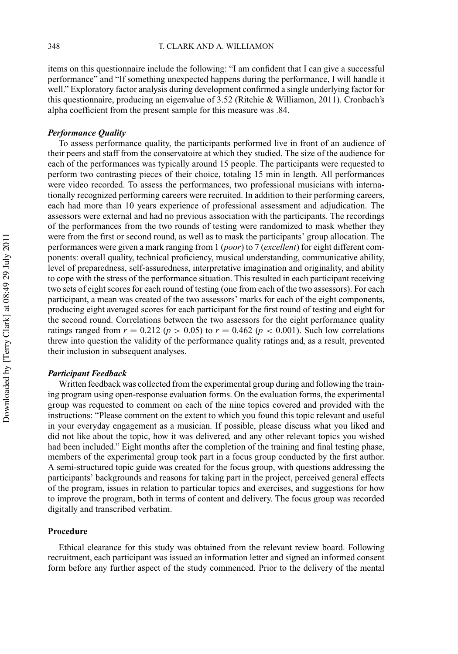items on this questionnaire include the following: "I am confident that I can give a successful performance" and "If something unexpected happens during the performance, I will handle it well." Exploratory factor analysis during development confirmed a single underlying factor for this questionnaire, producing an eigenvalue of 3.52 (Ritchie & Williamon, 2011). Cronbach's alpha coefficient from the present sample for this measure was .84.

#### *Performance Quality*

To assess performance quality, the participants performed live in front of an audience of their peers and staff from the conservatoire at which they studied. The size of the audience for each of the performances was typically around 15 people. The participants were requested to perform two contrasting pieces of their choice, totaling 15 min in length. All performances were video recorded. To assess the performances, two professional musicians with internationally recognized performing careers were recruited. In addition to their performing careers, each had more than 10 years experience of professional assessment and adjudication. The assessors were external and had no previous association with the participants. The recordings of the performances from the two rounds of testing were randomized to mask whether they were from the first or second round, as well as to mask the participants' group allocation. The performances were given a mark ranging from 1 (*poor*) to 7 (*excellent*) for eight different components: overall quality, technical proficiency, musical understanding, communicative ability, level of preparedness, self-assuredness, interpretative imagination and originality, and ability to cope with the stress of the performance situation. This resulted in each participant receiving two sets of eight scores for each round of testing (one from each of the two assessors). For each participant, a mean was created of the two assessors' marks for each of the eight components, producing eight averaged scores for each participant for the first round of testing and eight for the second round. Correlations between the two assessors for the eight performance quality ratings ranged from  $r = 0.212$  ( $p > 0.05$ ) to  $r = 0.462$  ( $p < 0.001$ ). Such low correlations threw into question the validity of the performance quality ratings and, as a result, prevented their inclusion in subsequent analyses.

#### *Participant Feedback*

Written feedback was collected from the experimental group during and following the training program using open-response evaluation forms. On the evaluation forms, the experimental group was requested to comment on each of the nine topics covered and provided with the instructions: "Please comment on the extent to which you found this topic relevant and useful in your everyday engagement as a musician. If possible, please discuss what you liked and did not like about the topic, how it was delivered, and any other relevant topics you wished had been included." Eight months after the completion of the training and final testing phase, members of the experimental group took part in a focus group conducted by the first author. A semi-structured topic guide was created for the focus group, with questions addressing the participants' backgrounds and reasons for taking part in the project, perceived general effects of the program, issues in relation to particular topics and exercises, and suggestions for how to improve the program, both in terms of content and delivery. The focus group was recorded digitally and transcribed verbatim.

#### **Procedure**

Ethical clearance for this study was obtained from the relevant review board. Following recruitment, each participant was issued an information letter and signed an informed consent form before any further aspect of the study commenced. Prior to the delivery of the mental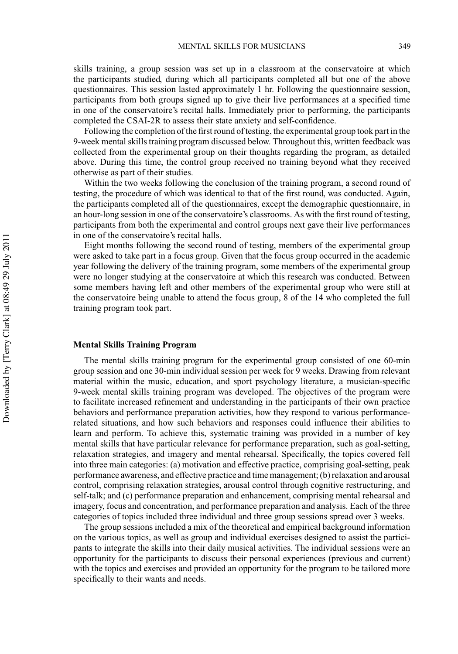skills training, a group session was set up in a classroom at the conservatoire at which the participants studied, during which all participants completed all but one of the above questionnaires. This session lasted approximately 1 hr. Following the questionnaire session, participants from both groups signed up to give their live performances at a specified time in one of the conservatoire's recital halls. Immediately prior to performing, the participants completed the CSAI-2R to assess their state anxiety and self-confidence.

Following the completion of the first round of testing, the experimental group took part in the 9-week mental skills training program discussed below. Throughout this, written feedback was collected from the experimental group on their thoughts regarding the program, as detailed above. During this time, the control group received no training beyond what they received otherwise as part of their studies.

Within the two weeks following the conclusion of the training program, a second round of testing, the procedure of which was identical to that of the first round, was conducted. Again, the participants completed all of the questionnaires, except the demographic questionnaire, in an hour-long session in one of the conservatoire's classrooms. As with the first round of testing, participants from both the experimental and control groups next gave their live performances in one of the conservatoire's recital halls.

Eight months following the second round of testing, members of the experimental group were asked to take part in a focus group. Given that the focus group occurred in the academic year following the delivery of the training program, some members of the experimental group were no longer studying at the conservatoire at which this research was conducted. Between some members having left and other members of the experimental group who were still at the conservatoire being unable to attend the focus group, 8 of the 14 who completed the full training program took part.

#### **Mental Skills Training Program**

The mental skills training program for the experimental group consisted of one 60-min group session and one 30-min individual session per week for 9 weeks. Drawing from relevant material within the music, education, and sport psychology literature, a musician-specific 9-week mental skills training program was developed. The objectives of the program were to facilitate increased refinement and understanding in the participants of their own practice behaviors and performance preparation activities, how they respond to various performancerelated situations, and how such behaviors and responses could influence their abilities to learn and perform. To achieve this, systematic training was provided in a number of key mental skills that have particular relevance for performance preparation, such as goal-setting, relaxation strategies, and imagery and mental rehearsal. Specifically, the topics covered fell into three main categories: (a) motivation and effective practice, comprising goal-setting, peak performance awareness, and effective practice and time management; (b) relaxation and arousal control, comprising relaxation strategies, arousal control through cognitive restructuring, and self-talk; and (c) performance preparation and enhancement, comprising mental rehearsal and imagery, focus and concentration, and performance preparation and analysis. Each of the three categories of topics included three individual and three group sessions spread over 3 weeks.

The group sessions included a mix of the theoretical and empirical background information on the various topics, as well as group and individual exercises designed to assist the participants to integrate the skills into their daily musical activities. The individual sessions were an opportunity for the participants to discuss their personal experiences (previous and current) with the topics and exercises and provided an opportunity for the program to be tailored more specifically to their wants and needs.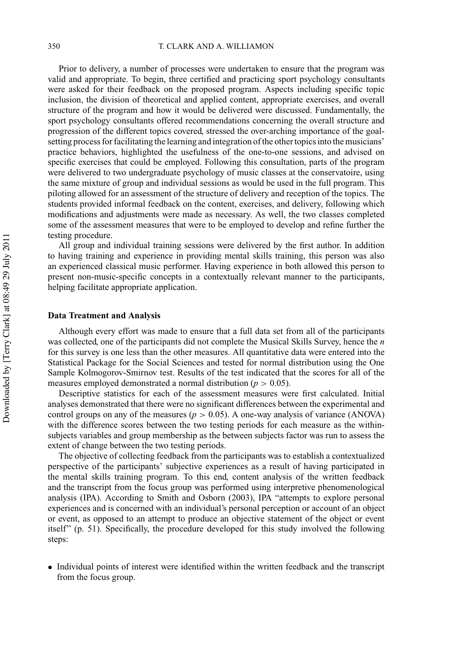Prior to delivery, a number of processes were undertaken to ensure that the program was valid and appropriate. To begin, three certified and practicing sport psychology consultants were asked for their feedback on the proposed program. Aspects including specific topic inclusion, the division of theoretical and applied content, appropriate exercises, and overall structure of the program and how it would be delivered were discussed. Fundamentally, the sport psychology consultants offered recommendations concerning the overall structure and progression of the different topics covered, stressed the over-arching importance of the goalsetting process for facilitating the learning and integration of the other topics into the musicians' practice behaviors, highlighted the usefulness of the one-to-one sessions, and advised on specific exercises that could be employed. Following this consultation, parts of the program were delivered to two undergraduate psychology of music classes at the conservatoire, using the same mixture of group and individual sessions as would be used in the full program. This piloting allowed for an assessment of the structure of delivery and reception of the topics. The students provided informal feedback on the content, exercises, and delivery, following which modifications and adjustments were made as necessary. As well, the two classes completed some of the assessment measures that were to be employed to develop and refine further the testing procedure.

All group and individual training sessions were delivered by the first author. In addition to having training and experience in providing mental skills training, this person was also an experienced classical music performer. Having experience in both allowed this person to present non-music-specific concepts in a contextually relevant manner to the participants, helping facilitate appropriate application.

#### **Data Treatment and Analysis**

Although every effort was made to ensure that a full data set from all of the participants was collected, one of the participants did not complete the Musical Skills Survey, hence the *n* for this survey is one less than the other measures. All quantitative data were entered into the Statistical Package for the Social Sciences and tested for normal distribution using the One Sample Kolmogorov-Smirnov test. Results of the test indicated that the scores for all of the measures employed demonstrated a normal distribution ( $p > 0.05$ ).

Descriptive statistics for each of the assessment measures were first calculated. Initial analyses demonstrated that there were no significant differences between the experimental and control groups on any of the measures ( $p > 0.05$ ). A one-way analysis of variance (ANOVA) with the difference scores between the two testing periods for each measure as the withinsubjects variables and group membership as the between subjects factor was run to assess the extent of change between the two testing periods.

The objective of collecting feedback from the participants was to establish a contextualized perspective of the participants' subjective experiences as a result of having participated in the mental skills training program. To this end, content analysis of the written feedback and the transcript from the focus group was performed using interpretive phenomenological analysis (IPA). According to Smith and Osborn (2003), IPA "attempts to explore personal experiences and is concerned with an individual's personal perception or account of an object or event, as opposed to an attempt to produce an objective statement of the object or event itself" (p. 51). Specifically, the procedure developed for this study involved the following steps:

• Individual points of interest were identified within the written feedback and the transcript from the focus group.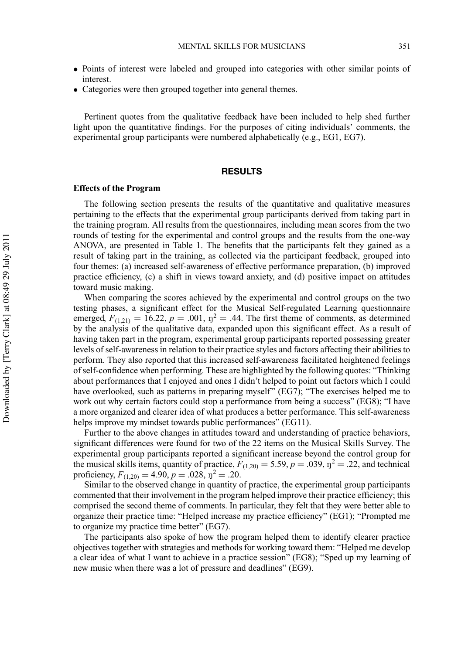- Points of interest were labeled and grouped into categories with other similar points of interest.
- Categories were then grouped together into general themes.

Pertinent quotes from the qualitative feedback have been included to help shed further light upon the quantitative findings. For the purposes of citing individuals' comments, the experimental group participants were numbered alphabetically (e.g., EG1, EG7).

# **RESULTS**

# **Effects of the Program**

The following section presents the results of the quantitative and qualitative measures pertaining to the effects that the experimental group participants derived from taking part in the training program. All results from the questionnaires, including mean scores from the two rounds of testing for the experimental and control groups and the results from the one-way ANOVA, are presented in Table 1. The benefits that the participants felt they gained as a result of taking part in the training, as collected via the participant feedback, grouped into four themes: (a) increased self-awareness of effective performance preparation, (b) improved practice efficiency, (c) a shift in views toward anxiety, and (d) positive impact on attitudes toward music making.

When comparing the scores achieved by the experimental and control groups on the two testing phases, a significant effect for the Musical Self-regulated Learning questionnaire emerged,  $F_{(1,21)} = 16.22$ ,  $p = .001$ ,  $\eta^2 = .44$ . The first theme of comments, as determined by the analysis of the qualitative data, expanded upon this significant effect. As a result of having taken part in the program, experimental group participants reported possessing greater levels of self-awareness in relation to their practice styles and factors affecting their abilities to perform. They also reported that this increased self-awareness facilitated heightened feelings of self-confidence when performing. These are highlighted by the following quotes: "Thinking about performances that I enjoyed and ones I didn't helped to point out factors which I could have overlooked, such as patterns in preparing myself" (EG7); "The exercises helped me to work out why certain factors could stop a performance from being a success" (EG8); "I have a more organized and clearer idea of what produces a better performance. This self-awareness helps improve my mindset towards public performances" (EG11).

Further to the above changes in attitudes toward and understanding of practice behaviors, significant differences were found for two of the 22 items on the Musical Skills Survey. The experimental group participants reported a significant increase beyond the control group for the musical skills items, quantity of practice,  $F_{(1,20)} = 5.59$ ,  $p = .039$ ,  $\eta^2 = .22$ , and technical proficiency,  $F_{(1,20)} = 4.90, p = .028, \eta^2 = .20.$ 

Similar to the observed change in quantity of practice, the experimental group participants commented that their involvement in the program helped improve their practice efficiency; this comprised the second theme of comments. In particular, they felt that they were better able to organize their practice time: "Helped increase my practice efficiency" (EG1); "Prompted me to organize my practice time better" (EG7).

The participants also spoke of how the program helped them to identify clearer practice objectives together with strategies and methods for working toward them: "Helped me develop a clear idea of what I want to achieve in a practice session" (EG8); "Sped up my learning of new music when there was a lot of pressure and deadlines" (EG9).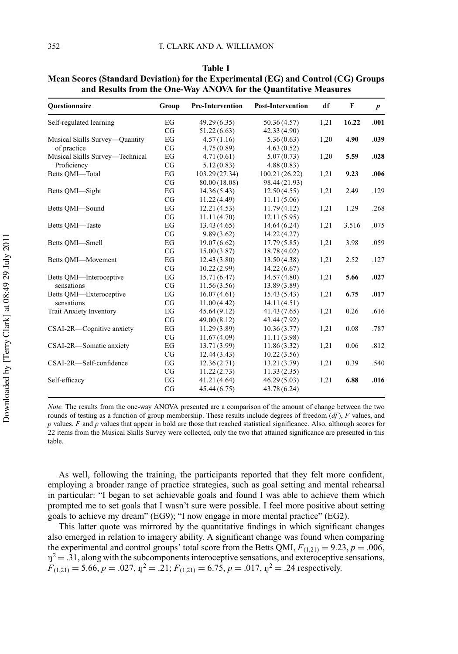| Questionnaire                                  | Group | <b>Pre-Intervention</b> | <b>Post-Intervention</b> | df   | F     | $\boldsymbol{p}$ |
|------------------------------------------------|-------|-------------------------|--------------------------|------|-------|------------------|
| Self-regulated learning                        | EG    | 49.29 (6.35)            | 50.36(4.57)              | 1,21 | 16.22 | .001             |
|                                                | CG    | 51.22(6.63)             | 42.33 (4.90)             |      |       |                  |
| Musical Skills Survey-Quantity<br>of practice  | EG    | 4.57(1.16)              | 5.36(0.63)               | 1,20 | 4.90  | .039             |
|                                                | CG    | 4.75(0.89)              | 4.63(0.52)               |      |       |                  |
| Musical Skills Survey-Technical<br>Proficiency | EG    | 4.71(0.61)              | 5.07(0.73)               | 1,20 | 5.59  | .028             |
|                                                | CG    | 5.12(0.83)              | 4.88(0.83)               |      |       |                  |
| Betts OMI-Total                                | EG    | 103.29 (27.34)          | 100.21 (26.22)           | 1,21 | 9.23  | .006             |
|                                                | CG    | 80.00 (18.08)           | 98.44 (21.93)            |      |       |                  |
| Betts QMI-Sight                                | EG    | 14.36(5.43)             | 12.50(4.55)              | 1,21 | 2.49  | .129             |
|                                                | CG    | 11.22(4.49)             | 11.11(5.06)              |      |       |                  |
| Betts QMI-Sound                                | EG    | 12.21(4.53)             | 11.79(4.12)              | 1,21 | 1.29  | .268             |
|                                                | CG    | 11.11(4.70)             | 12.11(5.95)              |      |       |                  |
| Betts OMI-Taste                                | EG    | 13.43(4.65)             | 14.64(6.24)              | 1,21 | 3.516 | .075             |
|                                                | CG    | 9.89(3.62)              | 14.22(4.27)              |      |       |                  |
| Betts OMI-Smell                                | EG    | 19.07(6.62)             | 17.79(5.85)              | 1,21 | 3.98  | .059             |
|                                                | CG    | 15.00(3.87)             | 18.78(4.02)              |      |       |                  |
| Betts OMI-Movement                             | EG    | 12.43(3.80)             | 13.50(4.38)              | 1,21 | 2.52  | .127             |
|                                                | CG    | 10.22(2.99)             | 14.22(6.67)              |      |       |                  |
| Betts OMI-Interoceptive<br>sensations          | EG    | 15.71(6.47)             | 14.57(4.80)              | 1,21 | 5.66  | .027             |
|                                                | CG    | 11.56(3.56)             | 13.89(3.89)              |      |       |                  |
| Betts QMI-Exteroceptive<br>sensations          | EG    | 16.07(4.61)             | 15.43(5.43)              | 1,21 | 6.75  | .017             |
|                                                | CG    | 11.00(4.42)             | 14.11(4.51)              |      |       |                  |
| <b>Trait Anxiety Inventory</b>                 | EG    | 45.64(9.12)             | 41.43(7.65)              | 1,21 | 0.26  | .616             |
|                                                | CG    | 49.00(8.12)             | 43.44 (7.92)             |      |       |                  |
| CSAI-2R-Cognitive anxiety                      | EG    | 11.29(3.89)             | 10.36(3.77)              | 1,21 | 0.08  | .787             |
|                                                | CG    | 11.67(4.09)             | 11.11(3.98)              |      |       |                  |
| CSAI-2R-Somatic anxiety                        | EG    | 13.71 (3.99)            | 11.86(3.32)              | 1,21 | 0.06  | .812             |
|                                                | CG    | 12.44(3.43)             | 10.22(3.56)              |      |       |                  |
| CSAI-2R-Self-confidence                        | EG    | 12.36(2.71)             | 13.21(3.79)              | 1,21 | 0.39  | .540             |
|                                                | CG    | 11.22(2.73)             | 11.33(2.35)              |      |       |                  |
| Self-efficacy                                  | EG    | 41.21(4.64)             | 46.29(5.03)              | 1,21 | 6.88  | .016             |
|                                                | CG    | 45.44(6.75)             | 43.78 (6.24)             |      |       |                  |
|                                                |       |                         |                          |      |       |                  |

**Table 1 Mean Scores (Standard Deviation) for the Experimental (EG) and Control (CG) Groups and Results from the One-Way ANOVA for the Quantitative Measures**

*Note.* The results from the one-way ANOVA presented are a comparison of the amount of change between the two rounds of testing as a function of group membership. These results include degrees of freedom (*df* ), *F* values, and *p* values. *F* and *p* values that appear in bold are those that reached statistical significance. Also, although scores for 22 items from the Musical Skills Survey were collected, only the two that attained significance are presented in this table.

As well, following the training, the participants reported that they felt more confident, employing a broader range of practice strategies, such as goal setting and mental rehearsal in particular: "I began to set achievable goals and found I was able to achieve them which prompted me to set goals that I wasn't sure were possible. I feel more positive about setting goals to achieve my dream" (EG9); "I now engage in more mental practice" (EG2).

This latter quote was mirrored by the quantitative findings in which significant changes also emerged in relation to imagery ability. A significant change was found when comparing the experimental and control groups' total score from the Betts QMI,  $F_{(1,21)} = 9.23$ ,  $p = .006$ ,  $\eta^2$  = .31, along with the subcomponents interoceptive sensations, and exteroceptive sensations,  $F_{(1,21)} = 5.66, p = .027, \eta^2 = .21; F_{(1,21)} = 6.75, p = .017, \eta^2 = .24$  respectively.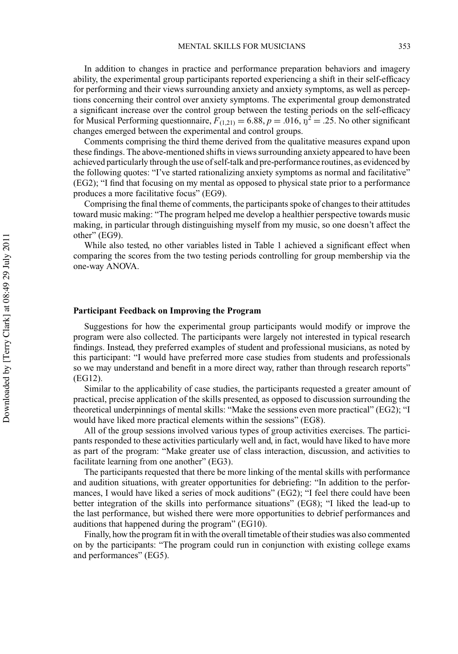In addition to changes in practice and performance preparation behaviors and imagery ability, the experimental group participants reported experiencing a shift in their self-efficacy for performing and their views surrounding anxiety and anxiety symptoms, as well as perceptions concerning their control over anxiety symptoms. The experimental group demonstrated a significant increase over the control group between the testing periods on the self-efficacy for Musical Performing questionnaire,  $F_{(1,21)} = 6.88$ ,  $p = .016$ ,  $\eta^2 = .25$ . No other significant changes emerged between the experimental and control groups.

Comments comprising the third theme derived from the qualitative measures expand upon these findings. The above-mentioned shifts in views surrounding anxiety appeared to have been achieved particularly through the use of self-talk and pre-performance routines, as evidenced by the following quotes: "I've started rationalizing anxiety symptoms as normal and facilitative" (EG2); "I find that focusing on my mental as opposed to physical state prior to a performance produces a more facilitative focus" (EG9).

Comprising the final theme of comments, the participants spoke of changes to their attitudes toward music making: "The program helped me develop a healthier perspective towards music making, in particular through distinguishing myself from my music, so one doesn't affect the other" (EG9).

While also tested, no other variables listed in Table 1 achieved a significant effect when comparing the scores from the two testing periods controlling for group membership via the one-way ANOVA.

#### **Participant Feedback on Improving the Program**

Suggestions for how the experimental group participants would modify or improve the program were also collected. The participants were largely not interested in typical research findings. Instead, they preferred examples of student and professional musicians, as noted by this participant: "I would have preferred more case studies from students and professionals so we may understand and benefit in a more direct way, rather than through research reports" (EG12).

Similar to the applicability of case studies, the participants requested a greater amount of practical, precise application of the skills presented, as opposed to discussion surrounding the theoretical underpinnings of mental skills: "Make the sessions even more practical" (EG2); "I would have liked more practical elements within the sessions" (EG8).

All of the group sessions involved various types of group activities exercises. The participants responded to these activities particularly well and, in fact, would have liked to have more as part of the program: "Make greater use of class interaction, discussion, and activities to facilitate learning from one another" (EG3).

The participants requested that there be more linking of the mental skills with performance and audition situations, with greater opportunities for debriefing: "In addition to the performances, I would have liked a series of mock auditions" (EG2); "I feel there could have been better integration of the skills into performance situations" (EG8); "I liked the lead-up to the last performance, but wished there were more opportunities to debrief performances and auditions that happened during the program" (EG10).

Finally, how the program fit in with the overall timetable of their studies was also commented on by the participants: "The program could run in conjunction with existing college exams and performances" (EG5).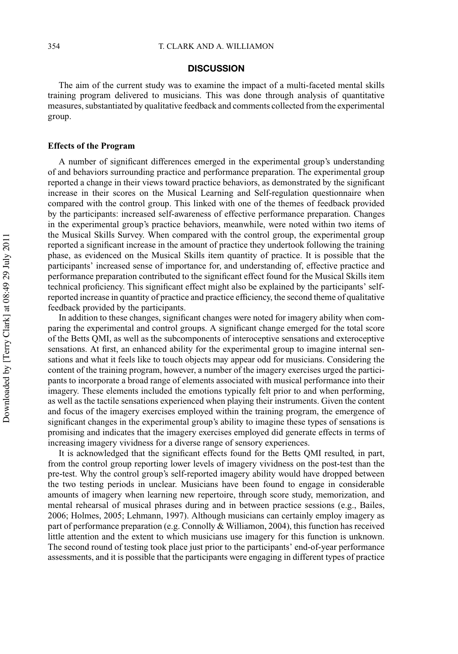#### **DISCUSSION**

The aim of the current study was to examine the impact of a multi-faceted mental skills training program delivered to musicians. This was done through analysis of quantitative measures, substantiated by qualitative feedback and comments collected from the experimental group.

#### **Effects of the Program**

A number of significant differences emerged in the experimental group's understanding of and behaviors surrounding practice and performance preparation. The experimental group reported a change in their views toward practice behaviors, as demonstrated by the significant increase in their scores on the Musical Learning and Self-regulation questionnaire when compared with the control group. This linked with one of the themes of feedback provided by the participants: increased self-awareness of effective performance preparation. Changes in the experimental group's practice behaviors, meanwhile, were noted within two items of the Musical Skills Survey. When compared with the control group, the experimental group reported a significant increase in the amount of practice they undertook following the training phase, as evidenced on the Musical Skills item quantity of practice. It is possible that the participants' increased sense of importance for, and understanding of, effective practice and performance preparation contributed to the significant effect found for the Musical Skills item technical proficiency. This significant effect might also be explained by the participants' selfreported increase in quantity of practice and practice efficiency, the second theme of qualitative feedback provided by the participants.

In addition to these changes, significant changes were noted for imagery ability when comparing the experimental and control groups. A significant change emerged for the total score of the Betts QMI, as well as the subcomponents of interoceptive sensations and exteroceptive sensations. At first, an enhanced ability for the experimental group to imagine internal sensations and what it feels like to touch objects may appear odd for musicians. Considering the content of the training program, however, a number of the imagery exercises urged the participants to incorporate a broad range of elements associated with musical performance into their imagery. These elements included the emotions typically felt prior to and when performing, as well as the tactile sensations experienced when playing their instruments. Given the content and focus of the imagery exercises employed within the training program, the emergence of significant changes in the experimental group's ability to imagine these types of sensations is promising and indicates that the imagery exercises employed did generate effects in terms of increasing imagery vividness for a diverse range of sensory experiences.

It is acknowledged that the significant effects found for the Betts QMI resulted, in part, from the control group reporting lower levels of imagery vividness on the post-test than the pre-test. Why the control group's self-reported imagery ability would have dropped between the two testing periods in unclear. Musicians have been found to engage in considerable amounts of imagery when learning new repertoire, through score study, memorization, and mental rehearsal of musical phrases during and in between practice sessions (e.g., Bailes, 2006; Holmes, 2005; Lehmann, 1997). Although musicians can certainly employ imagery as part of performance preparation (e.g. Connolly & Williamon, 2004), this function has received little attention and the extent to which musicians use imagery for this function is unknown. The second round of testing took place just prior to the participants' end-of-year performance assessments, and it is possible that the participants were engaging in different types of practice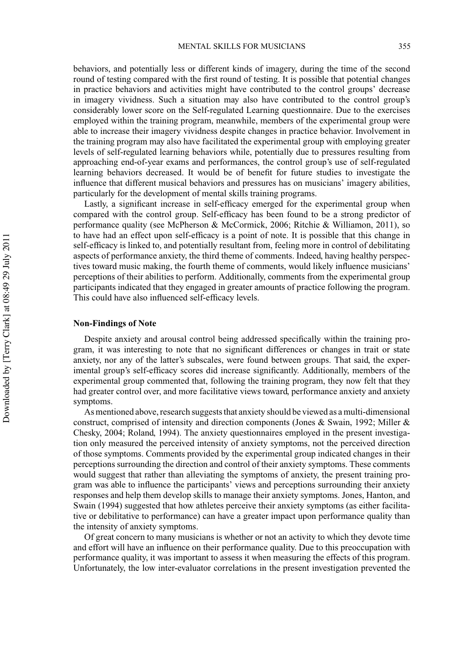behaviors, and potentially less or different kinds of imagery, during the time of the second round of testing compared with the first round of testing. It is possible that potential changes in practice behaviors and activities might have contributed to the control groups' decrease in imagery vividness. Such a situation may also have contributed to the control group's considerably lower score on the Self-regulated Learning questionnaire. Due to the exercises employed within the training program, meanwhile, members of the experimental group were able to increase their imagery vividness despite changes in practice behavior. Involvement in the training program may also have facilitated the experimental group with employing greater levels of self-regulated learning behaviors while, potentially due to pressures resulting from approaching end-of-year exams and performances, the control group's use of self-regulated learning behaviors decreased. It would be of benefit for future studies to investigate the influence that different musical behaviors and pressures has on musicians' imagery abilities, particularly for the development of mental skills training programs.

Lastly, a significant increase in self-efficacy emerged for the experimental group when compared with the control group. Self-efficacy has been found to be a strong predictor of performance quality (see McPherson & McCormick, 2006; Ritchie & Williamon, 2011), so to have had an effect upon self-efficacy is a point of note. It is possible that this change in self-efficacy is linked to, and potentially resultant from, feeling more in control of debilitating aspects of performance anxiety, the third theme of comments. Indeed, having healthy perspectives toward music making, the fourth theme of comments, would likely influence musicians' perceptions of their abilities to perform. Additionally, comments from the experimental group participants indicated that they engaged in greater amounts of practice following the program. This could have also influenced self-efficacy levels.

#### **Non-Findings of Note**

Despite anxiety and arousal control being addressed specifically within the training program, it was interesting to note that no significant differences or changes in trait or state anxiety, nor any of the latter's subscales, were found between groups. That said, the experimental group's self-efficacy scores did increase significantly. Additionally, members of the experimental group commented that, following the training program, they now felt that they had greater control over, and more facilitative views toward, performance anxiety and anxiety symptoms.

As mentioned above, research suggests that anxiety should be viewed as a multi-dimensional construct, comprised of intensity and direction components (Jones & Swain, 1992; Miller & Chesky, 2004; Roland, 1994). The anxiety questionnaires employed in the present investigation only measured the perceived intensity of anxiety symptoms, not the perceived direction of those symptoms. Comments provided by the experimental group indicated changes in their perceptions surrounding the direction and control of their anxiety symptoms. These comments would suggest that rather than alleviating the symptoms of anxiety, the present training program was able to influence the participants' views and perceptions surrounding their anxiety responses and help them develop skills to manage their anxiety symptoms. Jones, Hanton, and Swain (1994) suggested that how athletes perceive their anxiety symptoms (as either facilitative or debilitative to performance) can have a greater impact upon performance quality than the intensity of anxiety symptoms.

Of great concern to many musicians is whether or not an activity to which they devote time and effort will have an influence on their performance quality. Due to this preoccupation with performance quality, it was important to assess it when measuring the effects of this program. Unfortunately, the low inter-evaluator correlations in the present investigation prevented the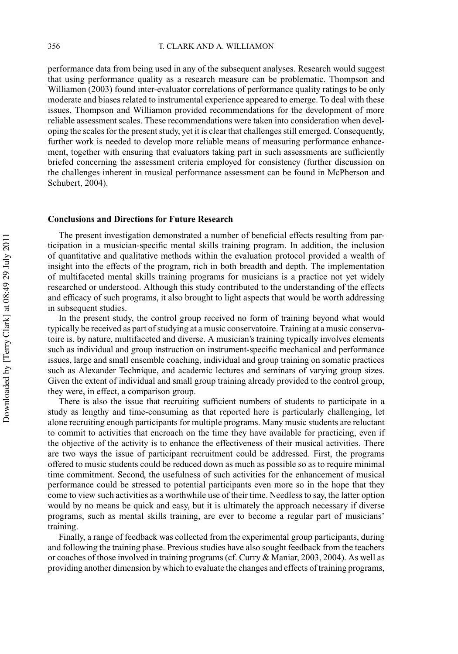performance data from being used in any of the subsequent analyses. Research would suggest that using performance quality as a research measure can be problematic. Thompson and Williamon (2003) found inter-evaluator correlations of performance quality ratings to be only moderate and biases related to instrumental experience appeared to emerge. To deal with these issues, Thompson and Williamon provided recommendations for the development of more reliable assessment scales. These recommendations were taken into consideration when developing the scales for the present study, yet it is clear that challenges still emerged. Consequently, further work is needed to develop more reliable means of measuring performance enhancement, together with ensuring that evaluators taking part in such assessments are sufficiently briefed concerning the assessment criteria employed for consistency (further discussion on the challenges inherent in musical performance assessment can be found in McPherson and Schubert, 2004).

# **Conclusions and Directions for Future Research**

The present investigation demonstrated a number of beneficial effects resulting from participation in a musician-specific mental skills training program. In addition, the inclusion of quantitative and qualitative methods within the evaluation protocol provided a wealth of insight into the effects of the program, rich in both breadth and depth. The implementation of multifaceted mental skills training programs for musicians is a practice not yet widely researched or understood. Although this study contributed to the understanding of the effects and efficacy of such programs, it also brought to light aspects that would be worth addressing in subsequent studies.

In the present study, the control group received no form of training beyond what would typically be received as part of studying at a music conservatoire. Training at a music conservatoire is, by nature, multifaceted and diverse. A musician's training typically involves elements such as individual and group instruction on instrument-specific mechanical and performance issues, large and small ensemble coaching, individual and group training on somatic practices such as Alexander Technique, and academic lectures and seminars of varying group sizes. Given the extent of individual and small group training already provided to the control group, they were, in effect, a comparison group.

There is also the issue that recruiting sufficient numbers of students to participate in a study as lengthy and time-consuming as that reported here is particularly challenging, let alone recruiting enough participants for multiple programs. Many music students are reluctant to commit to activities that encroach on the time they have available for practicing, even if the objective of the activity is to enhance the effectiveness of their musical activities. There are two ways the issue of participant recruitment could be addressed. First, the programs offered to music students could be reduced down as much as possible so as to require minimal time commitment. Second, the usefulness of such activities for the enhancement of musical performance could be stressed to potential participants even more so in the hope that they come to view such activities as a worthwhile use of their time. Needless to say, the latter option would by no means be quick and easy, but it is ultimately the approach necessary if diverse programs, such as mental skills training, are ever to become a regular part of musicians' training.

Finally, a range of feedback was collected from the experimental group participants, during and following the training phase. Previous studies have also sought feedback from the teachers or coaches of those involved in training programs (cf. Curry & Maniar, 2003, 2004). As well as providing another dimension by which to evaluate the changes and effects of training programs,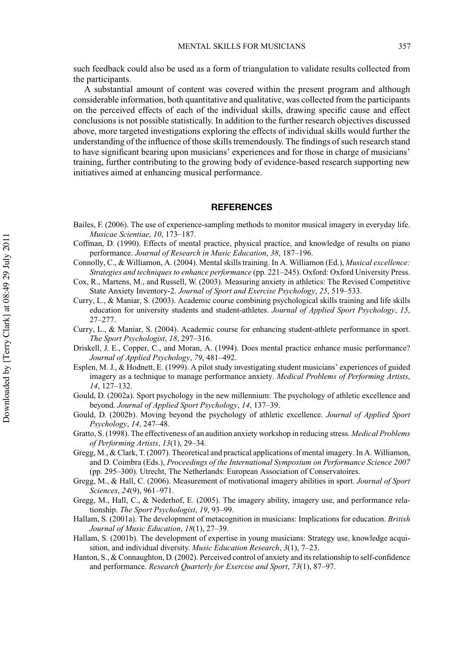such feedback could also be used as a form of triangulation to validate results collected from the participants.

A substantial amount of content was covered within the present program and although considerable information, both quantitative and qualitative, was collected from the participants on the perceived effects of each of the individual skills, drawing specific cause and effect conclusions is not possible statistically. In addition to the further research objectives discussed above, more targeted investigations exploring the effects of individual skills would further the understanding of the influence of those skills tremendously. The findings of such research stand to have significant bearing upon musicians' experiences and for those in charge of musicians' training, further contributing to the growing body of evidence-based research supporting new initiatives aimed at enhancing musical performance.

## **REFERENCES**

- Bailes, F. (2006). The use of experience-sampling methods to monitor musical imagery in everyday life. *Musicae Scientiae*, *10*, 173–187.
- Coffman, D. (1990). Effects of mental practice, physical practice, and knowledge of results on piano performance. *Journal of Research in Music Education*, *38*, 187–196.
- Connolly, C., & Williamon, A. (2004). Mental skills training. In A. Williamon (Ed.), *Musical excellence: Strategies and techniques to enhance performance* (pp. 221–245). Oxford: Oxford University Press.

Cox, R., Martens, M., and Russell, W. (2003). Measuring anxiety in athletics: The Revised Competitive State Anxiety Inventory-2. *Journal of Sport and Exercise Psychology*, *25*, 519–533.

- Curry, L., & Maniar, S. (2003). Academic course combining psychological skills training and life skills education for university students and student-athletes. *Journal of Applied Sport Psychology*, *15*, 27–277.
- Curry, L., & Maniar, S. (2004). Academic course for enhancing student-athlete performance in sport. *The Sport Psychologist*, *18*, 297–316.
- Driskell, J. E., Copper, C., and Moran, A. (1994). Does mental practice enhance music performance? *Journal of Applied Psychology*, *79*, 481–492.
- Esplen, M. J., & Hodnett, E. (1999). A pilot study investigating student musicians' experiences of guided imagery as a technique to manage performance anxiety. *Medical Problems of Performing Artists*, *14*, 127–132.
- Gould, D. (2002a). Sport psychology in the new millennium: The psychology of athletic excellence and beyond. *Journal of Applied Sport Psychology*, *14*, 137–39.
- Gould, D. (2002b). Moving beyond the psychology of athletic excellence. *Journal of Applied Sport Psychology*, *14*, 247–48.
- Gratto, S. (1998). The effectiveness of an audition anxiety workshop in reducing stress. *Medical Problems of Performing Artists*, *13*(1), 29–34.
- Gregg, M., & Clark, T. (2007). Theoretical and practical applications of mental imagery. In A. Williamon, and D. Coimbra (Eds.), *Proceedings of the International Symposium on Performance Science 2007* (pp. 295–300). Utrecht, The Netherlands: European Association of Conservatoires.
- Gregg, M., & Hall, C. (2006). Measurement of motivational imagery abilities in sport. *Journal of Sport Sciences*, *24*(9), 961–971.
- Gregg, M., Hall, C., & Nederhof, E. (2005). The imagery ability, imagery use, and performance relationship. *The Sport Psychologist*, *19*, 93–99.
- Hallam, S. (2001a). The development of metacognition in musicians: Implications for education. *British Journal of Music Education*, *18*(1), 27–39.
- Hallam, S. (2001b). The development of expertise in young musicians: Strategy use, knowledge acquisition, and individual diversity. *Music Education Research*, *3*(1), 7–23.
- Hanton, S., & Connaughton, D. (2002). Perceived control of anxiety and its relationship to self-confidence and performance. *Research Quarterly for Exercise and Sport*, *73*(1), 87–97.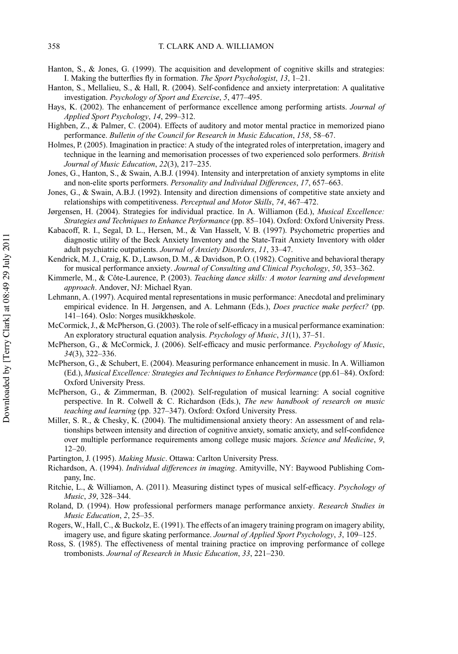- Hanton, S., & Jones, G. (1999). The acquisition and development of cognitive skills and strategies: I. Making the butterflies fly in formation. *The Sport Psychologist*, *13*, 1–21.
- Hanton, S., Mellalieu, S., & Hall, R. (2004). Self-confidence and anxiety interpretation: A qualitative investigation. *Psychology of Sport and Exercise*, *5*, 477–495.
- Hays, K. (2002). The enhancement of performance excellence among performing artists. *Journal of Applied Sport Psychology*, *14*, 299–312.
- Highben, Z., & Palmer, C. (2004). Effects of auditory and motor mental practice in memorized piano performance. *Bulletin of the Council for Research in Music Education*, *158*, 58–67.
- Holmes, P. (2005). Imagination in practice: A study of the integrated roles of interpretation, imagery and technique in the learning and memorisation processes of two experienced solo performers. *British Journal of Music Education*, *22*(3), 217–235.
- Jones, G., Hanton, S., & Swain, A.B.J. (1994). Intensity and interpretation of anxiety symptoms in elite and non-elite sports performers. *Personality and Individual Differences*, *17*, 657–663.
- Jones, G., & Swain, A.B.J. (1992). Intensity and direction dimensions of competitive state anxiety and relationships with competitiveness. *Perceptual and Motor Skills*, *74*, 467–472.
- Jørgensen, H. (2004). Strategies for individual practice. In A. Williamon (Ed.), *Musical Excellence: Strategies and Techniques to Enhance Performance* (pp. 85–104). Oxford: Oxford University Press.
- Kabacoff, R. I., Segal, D. L., Hersen, M., & Van Hasselt, V. B. (1997). Psychometric properties and diagnostic utility of the Beck Anxiety Inventory and the State-Trait Anxiety Inventory with older adult psychiatric outpatients. *Journal of Anxiety Disorders*, *11*, 33–47.

Kendrick, M. J., Craig, K. D., Lawson, D. M., & Davidson, P. O. (1982). Cognitive and behavioral therapy for musical performance anxiety. *Journal of Consulting and Clinical Psychology*, *50*, 353–362.

- Kimmerle, M., & Côte-Laurence, P. (2003). *Teaching dance skills: A motor learning and development approach*. Andover, NJ: Michael Ryan.
- Lehmann, A. (1997). Acquired mental representations in music performance: Anecdotal and preliminary empirical evidence. In H. Jørgensen, and A. Lehmann (Eds.), *Does practice make perfect?* (pp. 141–164). Oslo: Norges musikkhøskole.
- McCormick, J., & McPherson, G. (2003). The role of self-efficacy in a musical performance examination: An exploratory structural equation analysis. *Psychology of Music*, *31*(1), 37–51.
- McPherson, G., & McCormick, J. (2006). Self-efficacy and music performance. *Psychology of Music*, *34*(3), 322–336.
- McPherson, G., & Schubert, E. (2004). Measuring performance enhancement in music. In A. Williamon (Ed.), *Musical Excellence: Strategies and Techniques to Enhance Performance* (pp.61–84). Oxford: Oxford University Press.
- McPherson, G., & Zimmerman, B. (2002). Self-regulation of musical learning: A social cognitive perspective. In R. Colwell & C. Richardson (Eds.), *The new handbook of research on music teaching and learning* (pp. 327–347). Oxford: Oxford University Press.
- Miller, S. R., & Chesky, K. (2004). The multidimensional anxiety theory: An assessment of and relationships between intensity and direction of cognitive anxiety, somatic anxiety, and self-confidence over multiple performance requirements among college music majors. *Science and Medicine*, *9*, 12–20.

Partington, J. (1995). *Making Music*. Ottawa: Carlton University Press.

- Richardson, A. (1994). *Individual differences in imaging*. Amityville, NY: Baywood Publishing Company, Inc.
- Ritchie, L., & Williamon, A. (2011). Measuring distinct types of musical self-efficacy. *Psychology of Music*, *39*, 328–344.
- Roland, D. (1994). How professional performers manage performance anxiety. *Research Studies in Music Education*, *2*, 25–35.
- Rogers, W., Hall, C., & Buckolz, E. (1991). The effects of an imagery training program on imagery ability, imagery use, and figure skating performance. *Journal of Applied Sport Psychology*, *3*, 109–125.
- Ross, S. (1985). The effectiveness of mental training practice on improving performance of college trombonists. *Journal of Research in Music Education*, *33*, 221–230.